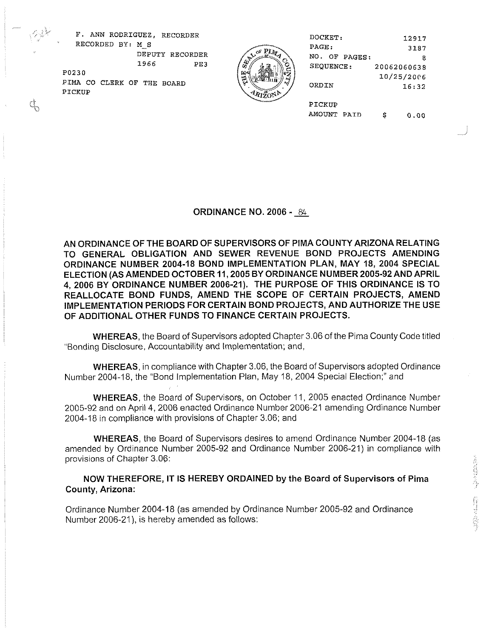F. ANN RODRIGUEZ, RECORDER DOCKET: 12917 ' RECORDED BY: **M-S** PAGE : 3187 DEPUTY RECORDER  $\begin{pmatrix} 1 & 0 & 0 \\ 0 & 0 & 0 \\ 0 & 0 & 0 \end{pmatrix}$  Recorder 8 PO230 10/25/20C6 PUZSU CO CLERK OF THE BOARD  $\begin{pmatrix} \frac{1}{2} & \frac{1}{2} & \frac{1}{2} \\ \frac{1}{2} & \frac{1}{2} & \frac{1}{2} \end{pmatrix}$  ORDIN 16:32 PICKUP PIMA CO CLERK OF THE BOARD (PARTICALLY ORDIN PICKUP

an<br>Album an Album an Album an Album an Album an Album an Album an Album an Album an Album an Album an Album a<br>Album an Album an Album an Album an Album an Album an Album an Album an Album an Album an Album an Album an Al

SEQUENCE: 20062060638 AMOUNT PAID \$ 0.00

ORDINANCE NO. **2006** -

AN ORDINANCE OF THE BOARD OF SUPERVISORS OF PlMA COUNTY ARIZONA RELATING TO GENERAL OBLIGATION AND SEWER REVENUE BOND PROJECTS AMENDING ORDINANCE NUMBER **2004-18** BOND IMPLEMENTATION PLAN, MAY **18, 2004** SPECIAL ELECTION (AS AMENDED OCTOBER **I I, 2005** BY ORDINANCE NUMBER **2005-92** AND APRIL **4, 2006** BY ORDINANCE NUMBER **2006-21).** THE PURPOSE OF THIS ORDINANCE IS TO REALLOCATE BOND FUNDS. AMEND THE SCOPE OF CERTAIN PROJECTS, AMEND IMPLEMENTATION PERIODS FOR CERTAIN BOND PROJECTS, AND AUTHORIZE THE USE OF ADDITIONAL OTHER FUNDS TO FINANCE CERTAIN PROJECTS.

WHEREAS, the Board of Supervisors adopted Chapter 3.06 of the Pima County Code titled "Bonding Disclosure, Accountability and Implementation; and,

WHEREAS, in compliance with Chapter 3.06, the Board of Supervisors adopted Ordinance Number 2004-18, the "Bond Implementation Plan, May 18, 2004 Special Election;" and

WHEREAS, the Board of Supervisors, on October 11, 2005 enacted Ordinance Number 2005-92 and on April 4,2006 enacted Ordinance Number 2006-21 amending Ordinance Number 2004-18 in compliance with provisions of Chapter 3.06; and

WHEREAS, the Board of Supervisors desires to amend Ordinance Number 2004-18 (as amended by Ordinance Number 2005-92 and Ordinance Number 2006-21) in compliance with provisions of Chapter 3.06:

NOW THEREFORE, IT IS HEREBY ORDAINED by the Board of Supervisors of Pirna County, Arizona:

Ordinance Number 2004-18 (as amended by Ordinance Number 2005-92 and Ordinance Number 2006-21), is hereby amended as follows: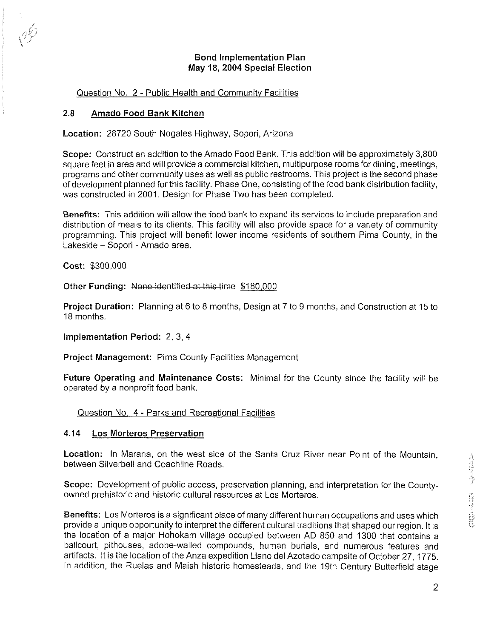## Bond Implementation Plan May **18, 2004** Special Election

# Question No. 2 - Public Health and Community Facilities

## **2.8** Amado Food Bank Kitchen

Location: 28720 South Nogales Highway, Sopori, Arizona

Scope: Construct an addition to the Amado Food Bank. This addition will be approximately 3,800 square feet in area and will provide a commercial kitchen, multipurpose rooms for dining, meetings, programs and other community uses as well as public restrooms. This project is the second phase of development planned forthis facility. Phase One, consisting of the food bank distribution facility, was constructed in 2001. Design for Phase Two has been completed.

Benefits: This addition will allow the food bank to expand its services to include preparation and distribution of meals to its clients. This facility will also provide space for a variety of community programming. This project will benefit lower income residents of southern Pima County, in the Lakeside - Sopori - Amado area.

Cost: \$300,000

Other Funding: None-identified at this time \$180,000

Project Duration: Planning at 6 to 8 months, Design at 7 to 9 months, and Construction at 15 to 18 months.

Implementation Period: 2, 3, 4

Project Management: Pima County Facilities Management

Future Operating and Maintenance Costs: Minimal for the County since the facility will be operated by a nonprofit food bank.

Question No. 4 - Parks and Recreational Facilities

## **4.14** Los Morteros Preservation

Location: In Marana, on the west side of the Santa Cruz River near Point of the Mountain, between Silverbell and Coachline Roads.

Scope: Development of public access, preservation planning, and interpretation for the Countyowned prehistoric and historic cultural resources at Los Morteros.

Benefits: Los Morteros is a significant place of many different human occupations and uses which provide a unique opportunity to interpret the different cultural traditions that shaped our region. It is the location of a major Hohokam village occupied between AD 850 and 1300 that contains a ballcourt, pithouses, adobe-walled compounds, human burials, and numerous features and artifacts. It is the location of the Anza expedition Llano del Azotado campsite of October 27, 1775. In addition, the Ruelas and Maish historic homesteads, and the 19th Century Butterfield stage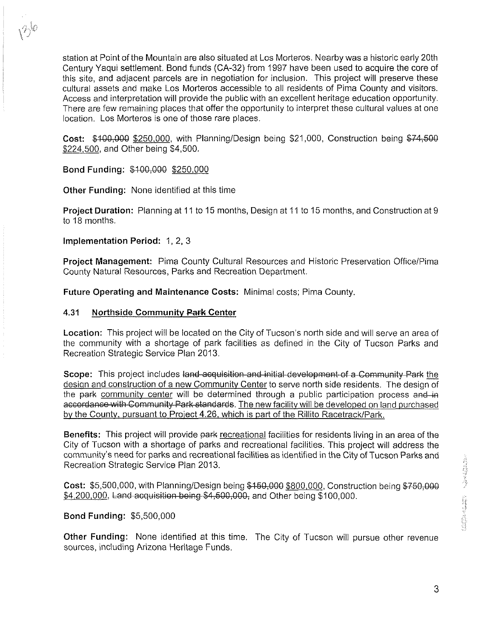station at Point of the Mountain are also situated at Los Morteros. Nearby was a historic early 20th Century Yaqui settlement. Bond funds (CA-32) from 1997 have been used to acquire the core of this site, and adjacent parcels are in negotiation for inclusion. This project will preserve these cultural assets and make Los Morteros accessible to all residents of Pima County and visitors. Access and interpretation will provide the public with an excellent heritage education opportunity. There are few remaining places that offer the opportunity to interpret these cultural values at one location. Los Morteros is one of those rare places.

 $Cost:$  \$100,000 \$250,000, with Planning/Design being \$21,000, Construction being \$74,500 \$224.500, and Other being \$4,500.

Bond Funding: \$100,000 \$250,000

Other Funding: None identified at this time

Project Duration: Planning at 11 to 15 months, Design at 11 to 15 months, and Construction at 9 to 18 months.

Implementation Period: 1, 2, 3

**Project Management:** Pima County Cultural Resources and Historic Preservation Office/Pima County Natural Resources, Parks and Recreation Department.

Future Operating and Maintenance Costs: Minimal costs; Pima County.

#### **4.31 Northside Community Park Center**

Location: This project will be located on the City of Tucson's north side and will serve an area of the community with a shortage of park facilities as defined in the City of Tucson Parks and Recreation Strategic Service Plan 2013.

Scope: This project includes land acquisition and initial development of a Community Park the design and construction of a new Community Center to serve north side residents. The design of the park community center will be determined through a public participation process and in accordance with Community Park standards. The new facility will be developed on land purchased by the County, pursuant to Project 4.26, which is part of the Rillito Racetrack/Park.

Benefits: This project will provide park recreational facilities for residents living in an area of the City of Tucson with a shortage of parks and recreational facilities. This project will address the community's need for parks and recreational facilities as identified in the City of Tucson Parks and Recreation Strategic Service Plan 2013.

Cost: \$5,500,000, with Planning/Design being \$150,000 \$800,000, Construction being \$750,000 community s need for parks and recreational facilities as identified in the City of Tucson Parks and<br>Recreation Strategic Service Plan 2013.<br>Cost: \$5,500,000, with Planning/Design being \$150,000 \$800,000, Construction bein

#### Bond Funding: \$5,500,000

Other Funding: None identified at this time. The City of Tucson will pursue other revenue sources, including Arizona Heritage Funds.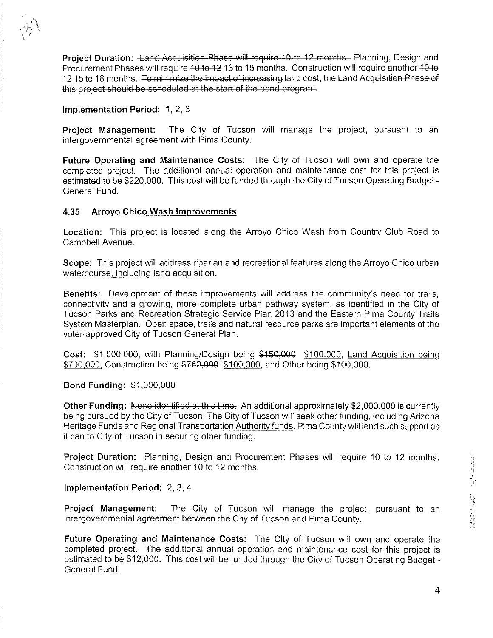Project Duration: <del>Land Acquisition Phase will require 1</del>0 to 12-months.- Planning, Design and<br>Procurement Phases will require 10 to 12 months. Construction will require another 10 to<br>12 15 to 18 months. To minimize the im Procurement Phases will require <del>10 to 12</del> <u>13 to 15</u> months. Construction will require another 1<br>12 <u>15 to 18</u> months. <del>To minimize the impact of increasing land cost, the Land Acquisition Phas</del>

#### Implementation Period: 1, 2, 3

Project Management: The City of Tucson will manage the project, pursuant to an intergovernmental agreement with Pima County.

and Acquisition Phase will require 10 to 12 months- Planning, Design and<br>
will require 40-6-42 <u>13 to 15</u> months. Construction will require another 10 to<br>
To minimize the impact of increasing land cost, the Land Acquisitio Future Operating and Maintenance Costs: The City of Tucson will own and operate the completed project. The additional annual operation and maintenance cost for this project is estimated to be \$220,000. This cost will be funded through the City of Tucson Operating Budget - General Fund.

### **4.35** Arrovo Chico Wash Improvements

Location: This project is located along the Arroyo Chico Wash from Country Club Road to Campbell Avenue.

Scope: This project will address riparian and recreational features along the Arroyo Chico urban watercourse, includinq land acquisition.

Benefits: Development of these improvements will address the community's need for trails, connectivity and a growing, more complete urban pathway system, as identified in the City of Tucson Parks and Recreation Strategic Service Plan 2013 and the Eastern Pima County Trails System Masterplan. Open space, trails and natural resource parks are important elements of the voter-approved City of Tucson General Plan. **Benefits:** Development of these improvements will address the community's need for trails,<br>connectivity and a growing, more complete urban pathway system, as identified in the City of<br>Tucson Parks and Recreation Strategic

Cost: \$1,000,000, with Planning/Design being \$450,000 \$100,000, Land Acquisition being \$700,000, Construction being \$750,000 \$100,000, and Other being \$100,000.

#### Bond Funding: \$1,000,000

being pursued by the City of Tucson. The City of Tucson will seek other funding, including Arizona Heritage Funds and Reqional Transportation Authority funds. Pima County will lend such support as it can to City of Tucson in securing other funding.

Project Duration: Planning, Design and Procurement Phases will require 10 to 12 months. Construction will require another 10 to 12 months.

Implementation Period: 2, 3, 4

Froject Duration: Planning, Design and Procurement Phases will require 10 to 12 months.<br>
Construction will require another 10 to 12 months.<br>
Implementation Period: 2, 3, 4<br>
Project Management: The City of Tucson will manag

Future Operating and Maintenance Costs: The City of Tucson will own and operate the completed project. The additional annual operation and maintenance cost for this project is estimated to be \$12,000. This cost will be funded through the City of Tucson Operating Budget -<br>General Fund.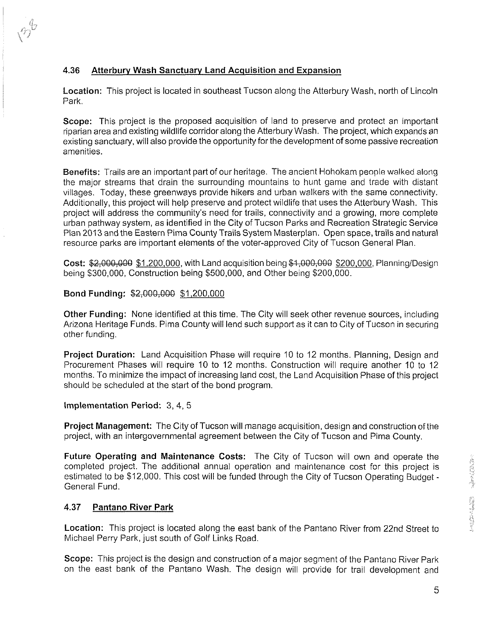# **4.36** Atterbury Wash Sanctuarv Land Acquisition and Expansion

Location: This project is located in southeast Tucson along the Atterbury Wash, north of Lincoln Park.

Scope: This project is the proposed acquisition of land to preserve and protect an important riparian area and existing wildlife corridor along the Atterbury Wash. The project, which expands an existing sanctuary, will also provide the opportunity for the development of some passive recreation amenities.

Benefits: Trails are an important part of our heritage. The ancient Hohokam people walked along the major streams that drain the surrounding mountains to hunt game and trade with distant villages. Today, these greenways provide hikers and urban walkers with the same connectivity. Additionally, this project will help preserve and protect wildlife that uses the Atterbury Wash. This project will address the community's need for trails, connectivity and a growing, more complete urban pathway system, as identified in the City of Tucson Parks and Recreation Strategic Service Plan 2013 and the Eastern Pima County Trails System Masterplan. Open space, trails and natural resource parks are important elements of the voter-approved City of Tucson General Plan.

**Cost: \$2,000,000 \$1,200,000, with Land acquisition being \$4,000,000 \$200,000, Planning/Design** being \$300,000, Construction being \$500,000, and Other being \$200,000.

#### Bond Funding: \$2,000,000 \$1,200,000

Other Funding: None identified at this time. The City will seek other revenue sources, including Arizona Heritage Funds. Pima County will lend such support as it can to City of Tucson in securing other funding.

Project Duration: Land Acquisition Phase will require 10 to 12 months. Planning, Design and Procurement Phases will require 10 to 12 months. Construction will require another 10 to 12 months. To minimize the impact of increasing land cost, the Land Acquisition Phase of this project should be scheduled at the start of the bond program.

#### Implementation Period: 3, 4, 5

Project Management: The City of Tucson will manage acquisition, design and construction of the project, with an intergovernmental agreement between the City of Tucson and Pima County.

Future Operating and Maintenance Costs: The City of Tucson will own and operate the completed project. The additional annual operation and maintenance cost for this project is estimated to be \$12,000. This cost will be funded through the City of Tucson Operating Budget -<br>General Fund.

## **4.37** Pantano River Park

Location: This project is located along the east bank of the Pantano River from 22nd Street to Michael Perry Park, just south of Golf Links Road.

Scope: This project is the design and construction of a major segment of the Pantano River Park on the east bank of the Pantano Wash. The design will provide for trail development and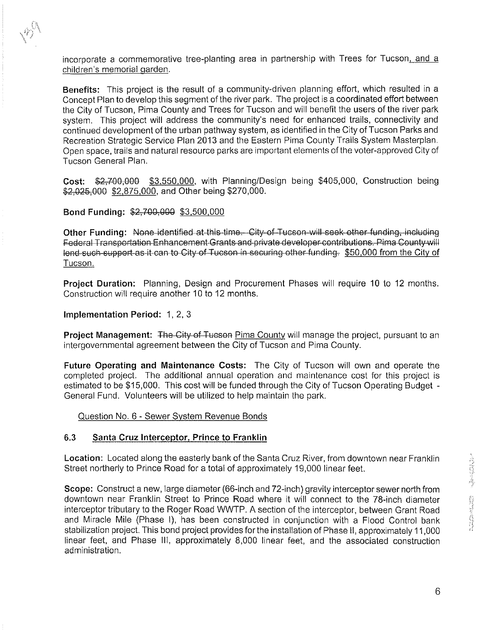incorporate a commemorative tree-planting area in partnership with Trees for Tucson, and a children's memorial qarden.

Benefits: This project is the result of a community-driven planning effort, which resulted in a Concept Plan to develop this segment of the river park. The project is a coordinated effort between the City of Tucson, Pima County and Trees for Tucson and will benefit the users of the river park system. This project will address the community's need for enhanced trails, connectivity and continued development of the urban pathway system, as identified in the City of Tucson Parks and Recreation Strategic Service Plan 2013 and the Eastern Pima County Trails System Masterplan. Open space, trails and natural resource parks are important elements of the voter-approved City of Tucson General Plan. ncorporate a commemorative tree-planting area in pertnership with Trees for Tucson<u>, and a children's memorial garden</u>.<br> **Benefits:** This project is the result of a community-driven planning effort, which resulted in a Gon

Cost: \$2,700,000 \$3,550,000, with Planning/Design being \$405,000, Construction being \$2,025,000 \$2,875,000, and Other being \$270,000.

Bond Funding: \$2,700,000 \$3,500,000

lend such support as it can to City of Tucson in securing other funding. \$50,000 from the City of Tucson.

Project Duration: Planning, Design and Procurement Phases will require 10 to 12 months. Construction will require another 10 to 12 months.

Implementation Period: 1, 2, 3

**Project Management:** The City of Tueson Pima County will manage the project, pursuant to an intergovernmental agreement between the City of Tucson and Pima County.

Future Operating and Maintenance Costs: The City of Tucson will own and operate the completed project. The additional annual operation and maintenance cost for this project is estimated to be \$15,000. This cost will be funded through the City of Tucson Operating Budget - General Fund. Volunteers will be utilized to help maintain the park.

Question No. 6 - Sewer Svstem Revenue Bonds

#### **6.3** Santa Cruz Interceptor, Prince to Franklin

Location: Located along the easterly bank of the Santa Cruz River, from downtown near Franklin Street northerly to Prince Road for a total of approximately 19,000 linear feet.

Scope: Construct a new, large diameter (66-inch and 72-inch) gravity interceptor sewer north from Location: Located along the easterly bank of the Santa Cruz River, from downtown near Franklin<br>Street northerly to Prince Road for a total of approximately 19,000 linear feet.<br>Scope: Construct a new, large diameter (66-inc interceptor tributary to the Roger Road WWTP. A section of the interceptor, between Grant Road and Miracle Mile (Phase I), has been constructed in conjunction with a Flood Control bank stabilization project. This bond project provides for the installation of Phase II, approximately 11,000 linear feet, and Phase Ill, approximately 8,000 linear feet, and the associated construction administration.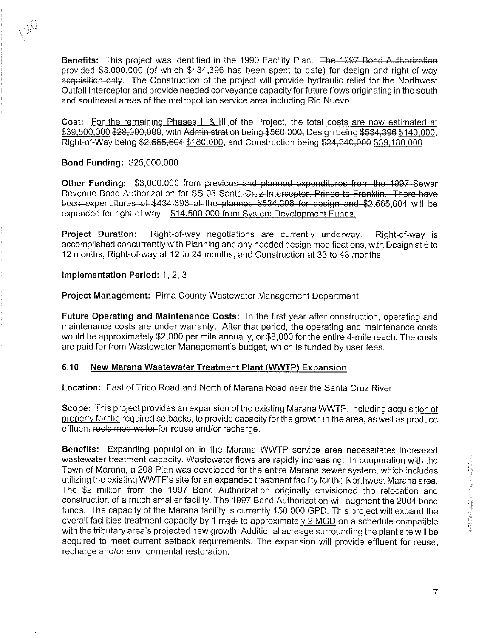Benefits: This project was identified in the 1990 Facility Plan. The 1997 Bond Authorization **Benefits:** This project was identified in the 1990 Facility Plan. The 1997-Bond-Authorization provided \$3,000,000 (of-which-\$434,396 has been spent to date) for design-and-right-of-way<br>equisition-only. The Construction of Outfall Interceptor and provide needed conveyance capacity for future flows originating in the south and southeast areas of the metropolitan service area including Rio Nuevo. **Benefits:** This project was identified in the 1990 Facility Plan. The 4997-Bond-Authorization provide hereafted \$2,000,000-(ef-wish-\$434,398-has been specific the date) for classical methods for each priority of the proje

Cost: For the remaining Phases II & III of the Project, the total costs are now estimated at <u>cost. To the remaining I hases in on the Frielect, the total costs are now estimated at</u><br>\$39,500,000 \$28,000,000, with Administration being \$560,000, Design being \$534,396 <u>\$140,000</u>, Right-of-Way being \$2,565,604 \$180,000, and Construction being \$24,340,000 \$39,180,000.

### Bond Funding: \$25,000,000

been expenditures of \$434,396 of the planned \$534,396 for design and \$2,565,604 will be expended for right of way. \$14,500,000 from System Development Funds.

Project Duration: Right-of-way negotiations are currently underway. Right-of-way is accomplished concurrently with Planning and any needed design modifications, with Design at 6 to 12 months, Right-of-way at 12 to 24 months, and Construction at 33 to 48 months.

Implementation Period: 1, 2, 3

Project Management: Pima County Wastewater Management Department

Future Operating and Maintenance Costs: In the first year after construction, operating and maintenance costs are under warranty. After that period, the operating and maintenance costs would be approximately \$2,000 per mile annually, or \$8,000 for the entire 4-mile reach. The costs are paid for from Wastewater Management's budget, which is funded by user fees.

## **6.10** New Marana Wastewater Treatment Plant (WWTP) Expansion

Location: East of Trico Road and North of Marana Road near the Santa Cruz River

Scope: This project provides an expansion of the existing Marana WWTP, including acquisition of propertv for the required setbacks, to provide capacity for the growth in the area, as well as produce effluent reclaimed water-for reuse and/or recharge.

Benefits: Expanding population in the Marana WWTP service area necessitates increased wastewater treatment capacity. Wastewater flows are rapidly increasing. In cooperation with the Town of Marana, a 208 Plan was developed for the entire Marana sewer system, which includes utilizing the existing WWTF's site for an expanded treatment facility for the Northwest Marana area. The \$2 million from the 1997 Bond Authorization originally envisioned the relocation and construction of a much smaller facility. The 1997 Bond Authorization will augment the 2004 bond funds. The capacity of the Marana facility is currently 150,000 GPD. This project will expand the overall facilities treatment capacity by 1-mgd; to approximately 2 MGD on a schedule compatible with the tributary area's projected new growth. Additional acreage surrounding the plant site will be acquired to meet current setback requirements. The expansion will provide effluent for reuse, recharge and/or environmental restoration.